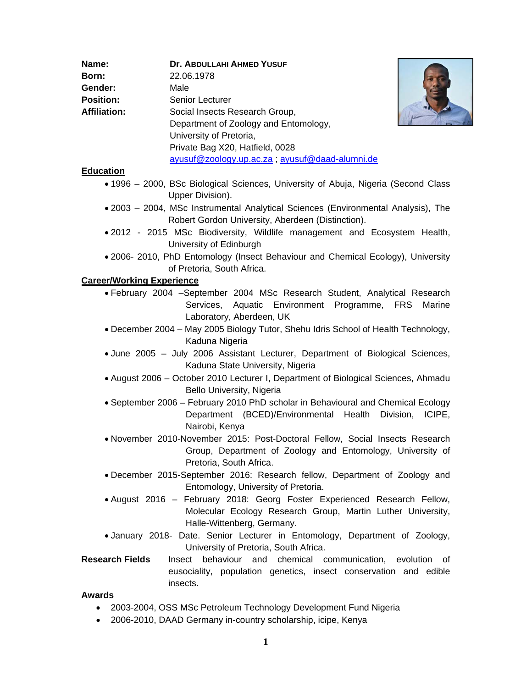| Name:               | Dr. ABDULLAHI AHMED YUSUF                      |
|---------------------|------------------------------------------------|
| Born:               | 22.06.1978                                     |
| Gender:             | Male                                           |
| <b>Position:</b>    | Senior Lecturer                                |
| <b>Affiliation:</b> | Social Insects Research Group,                 |
|                     | Department of Zoology and Entomology,          |
|                     | University of Pretoria,                        |
|                     | Private Bag X20, Hatfield, 0028                |
|                     | ayusuf@zoology.up.ac.za; ayusuf@daad-alumni.de |



### **Education**

- 1996 2000, BSc Biological Sciences, University of Abuja, Nigeria (Second Class Upper Division).
- 2003 2004, MSc Instrumental Analytical Sciences (Environmental Analysis), The Robert Gordon University, Aberdeen (Distinction).
- 2012 2015 MSc Biodiversity, Wildlife management and Ecosystem Health, University of Edinburgh
- 2006- 2010, PhD Entomology (Insect Behaviour and Chemical Ecology), University of Pretoria, South Africa.

#### **Career/Working Experience**

- February 2004 –September 2004 MSc Research Student, Analytical Research Services, Aquatic Environment Programme, FRS Marine Laboratory, Aberdeen, UK
- December 2004 May 2005 Biology Tutor, Shehu Idris School of Health Technology, Kaduna Nigeria
- June 2005 July 2006 Assistant Lecturer, Department of Biological Sciences, Kaduna State University, Nigeria
- August 2006 October 2010 Lecturer I, Department of Biological Sciences, Ahmadu Bello University, Nigeria
- September 2006 February 2010 PhD scholar in Behavioural and Chemical Ecology Department (BCED)/Environmental Health Division, ICIPE, Nairobi, Kenya
- November 2010-November 2015: Post-Doctoral Fellow, Social Insects Research Group, Department of Zoology and Entomology, University of Pretoria, South Africa.
- December 2015-September 2016: Research fellow, Department of Zoology and Entomology, University of Pretoria.
- August 2016 February 2018: Georg Foster Experienced Research Fellow, Molecular Ecology Research Group, Martin Luther University, Halle-Wittenberg, Germany.
- January 2018- Date. Senior Lecturer in Entomology, Department of Zoology, University of Pretoria, South Africa.
- **Research Fields** Insect behaviour and chemical communication, evolution of eusociality, population genetics, insect conservation and edible insects.

#### **Awards**

- 2003-2004, OSS MSc Petroleum Technology Development Fund Nigeria
- 2006-2010, DAAD Germany in-country scholarship, icipe, Kenya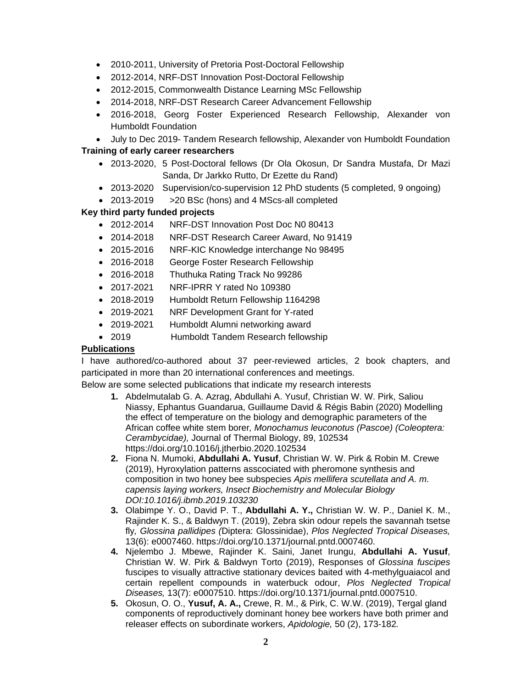- 2010-2011, University of Pretoria Post-Doctoral Fellowship
- 2012-2014, NRF-DST Innovation Post-Doctoral Fellowship
- 2012-2015, Commonwealth Distance Learning MSc Fellowship
- 2014-2018, NRF-DST Research Career Advancement Fellowship
- 2016-2018, Georg Foster Experienced Research Fellowship, Alexander von Humboldt Foundation
- July to Dec 2019- Tandem Research fellowship, Alexander von Humboldt Foundation

### **Training of early career researchers**

- 2013-2020, 5 Post-Doctoral fellows (Dr Ola Okosun, Dr Sandra Mustafa, Dr Mazi Sanda, Dr Jarkko Rutto, Dr Ezette du Rand)
- 2013-2020 Supervision/co-supervision 12 PhD students (5 completed, 9 ongoing)
- 2013-2019 > 20 BSc (hons) and 4 MScs-all completed

## **Key third party funded projects**

- 2012-2014 NRF-DST Innovation Post Doc N0 80413
- 2014-2018 NRF-DST Research Career Award, No 91419
- 2015-2016 NRF-KIC Knowledge interchange No 98495
- 2016-2018 George Foster Research Fellowship
- 2016-2018 Thuthuka Rating Track No 99286
- 2017-2021 NRF-IPRR Y rated No 109380
- 2018-2019 Humboldt Return Fellowship 1164298
- 2019-2021 NRF Development Grant for Y-rated
- 2019-2021 Humboldt Alumni networking award
- 2019 Humboldt Tandem Research fellowship

# **Publications**

I have authored/co-authored about 37 peer-reviewed articles, 2 book chapters, and participated in more than 20 international conferences and meetings.

Below are some selected publications that indicate my research interests

- **1.** Abdelmutalab G. A. Azrag, Abdullahi A. Yusuf, Christian W. W. Pirk, Saliou Niassy, Ephantus Guandarua, Guillaume David & Régis Babin (2020) Modelling the effect of temperature on the biology and demographic parameters of the African coffee white stem borer*, Monochamus leuconotus (Pascoe) (Coleoptera: Cerambycidae),* Journal of Thermal Biology, 89, 102534 https://doi.org/10.1016/j.jtherbio.2020.102534
- **2.** Fiona N. Mumoki, **Abdullahi A. Yusuf**, Christian W. W. Pirk & Robin M. Crewe (2019), Hyroxylation patterns asscociated with pheromone synthesis and composition in two honey bee subspecies *Apis mellifera scutellata and A. m. capensis laying workers, Insect Biochemistry and Molecular Biology DOI:10.1016/j.ibmb.2019.103230*
- **3.** Olabimpe Y. O., David P. T., **Abdullahi A. Y.,** Christian W. W. P., Daniel K. M., Rajinder K. S., & Baldwyn T. (2019), Zebra skin odour repels the savannah tsetse fly*, Glossina pallidipes (*Diptera: Glossinidae), *Plos Neglected Tropical Diseases,*  13(6): e0007460. https://doi.org/10.1371/journal.pntd.0007460.
- **4.** Njelembo J. Mbewe, Rajinder K. Saini, Janet Irungu, **Abdullahi A. Yusuf**, Christian W. W. Pirk & Baldwyn Torto (2019), Responses of *Glossina fuscipes*  fuscipes to visually attractive stationary devices baited with 4-methylguaiacol and certain repellent compounds in waterbuck odour, *Plos Neglected Tropical Diseases,* 13(7): e0007510. https://doi.org/10.1371/journal.pntd.0007510.
- **5.** Okosun, O. O., **Yusuf, A. A.,** Crewe, R. M., & Pirk, C. W.W. (2019), Tergal gland components of reproductively dominant honey bee workers have both primer and releaser effects on subordinate workers, *Apidologie,* 50 (2), 173-182*.*